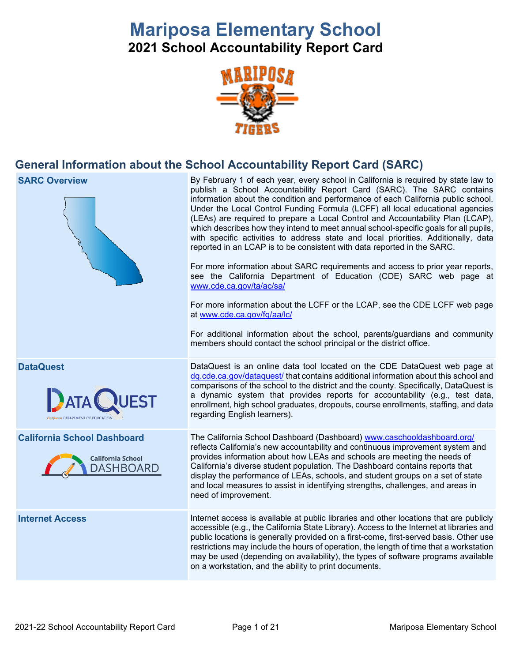# **Mariposa Elementary School**

**2021 School Accountability Report Card**



## **General Information about the School Accountability Report Card (SARC)**



**SARC Overview** By February 1 of each year, every school in California is required by state law to publish a School Accountability Report Card (SARC). The SARC contains information about the condition and performance of each California public school. Under the Local Control Funding Formula (LCFF) all local educational agencies (LEAs) are required to prepare a Local Control and Accountability Plan (LCAP), which describes how they intend to meet annual school-specific goals for all pupils, with specific activities to address state and local priorities. Additionally, data reported in an LCAP is to be consistent with data reported in the SARC.

> For more information about SARC requirements and access to prior year reports, see the California Department of Education (CDE) SARC web page at [www.cde.ca.gov/ta/ac/sa/](https://www.cde.ca.gov/ta/ac/sa/)

> For more information about the LCFF or the LCAP, see the CDE LCFF web page at [www.cde.ca.gov/fg/aa/lc/](https://www.cde.ca.gov/fg/aa/lc/)

> For additional information about the school, parents/guardians and community members should contact the school principal or the district office.

**DataQuest** DataQuest is an online data tool located on the CDE DataQuest web page at [dq.cde.ca.gov/dataquest/](https://dq.cde.ca.gov/dataquest/) that contains additional information about this school and comparisons of the school to the district and the county. Specifically, DataQuest is a dynamic system that provides reports for accountability (e.g., test data, enrollment, high school graduates, dropouts, course enrollments, staffing, and data regarding English learners).

**California School Dashboard** The California School Dashboard (Dashboard) [www.caschooldashboard.org/](http://www.caschooldashboard.org/) reflects California's new accountability and continuous improvement system and provides information about how LEAs and schools are meeting the needs of California's diverse student population. The Dashboard contains reports that display the performance of LEAs, schools, and student groups on a set of state and local measures to assist in identifying strengths, challenges, and areas in need of improvement.

**Internet Access** Internet access is available at public libraries and other locations that are publicly accessible (e.g., the California State Library). Access to the Internet at libraries and public locations is generally provided on a first-come, first-served basis. Other use restrictions may include the hours of operation, the length of time that a workstation may be used (depending on availability), the types of software programs available on a workstation, and the ability to print documents.



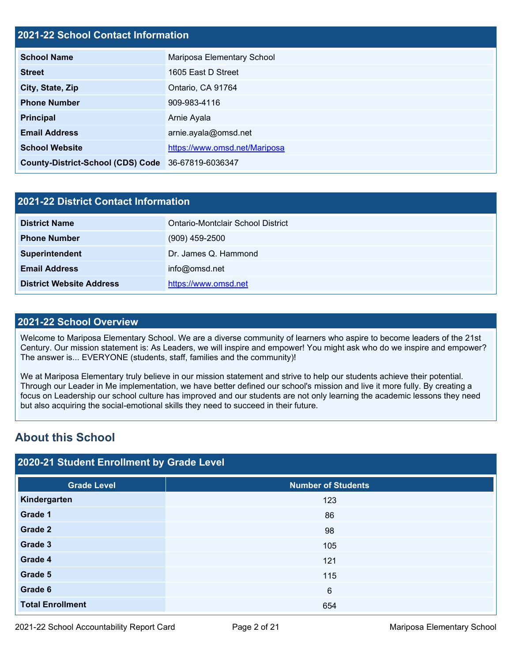## **2021-22 School Contact Information**

| <b>School Name</b>                                 | Mariposa Elementary School    |
|----------------------------------------------------|-------------------------------|
| <b>Street</b>                                      | 1605 East D Street            |
| City, State, Zip                                   | Ontario, CA 91764             |
| <b>Phone Number</b>                                | 909-983-4116                  |
| <b>Principal</b>                                   | Arnie Ayala                   |
| <b>Email Address</b>                               | arnie.ayala@omsd.net          |
| <b>School Website</b>                              | https://www.omsd.net/Mariposa |
| County-District-School (CDS) Code 36-67819-6036347 |                               |

| 2021-22 District Contact Information |                                   |  |  |  |
|--------------------------------------|-----------------------------------|--|--|--|
| <b>District Name</b>                 | Ontario-Montclair School District |  |  |  |
| <b>Phone Number</b>                  | $(909)$ 459-2500                  |  |  |  |
| Superintendent                       | Dr. James Q. Hammond              |  |  |  |
| <b>Email Address</b>                 | info@omsd.net                     |  |  |  |
| <b>District Website Address</b>      | https://www.omsd.net              |  |  |  |

### **2021-22 School Overview**

Welcome to Mariposa Elementary School. We are a diverse community of learners who aspire to become leaders of the 21st Century. Our mission statement is: As Leaders, we will inspire and empower! You might ask who do we inspire and empower? The answer is... EVERYONE (students, staff, families and the community)!

We at Mariposa Elementary truly believe in our mission statement and strive to help our students achieve their potential. Through our Leader in Me implementation, we have better defined our school's mission and live it more fully. By creating a focus on Leadership our school culture has improved and our students are not only learning the academic lessons they need but also acquiring the social-emotional skills they need to succeed in their future.

## **About this School**

## **2020-21 Student Enrollment by Grade Level**

| <b>Grade Level</b>      | <b>Number of Students</b> |
|-------------------------|---------------------------|
| Kindergarten            | 123                       |
| Grade 1                 | 86                        |
| Grade 2                 | 98                        |
| Grade 3                 | 105                       |
| Grade 4                 | 121                       |
| Grade 5                 | 115                       |
| Grade 6                 | $6\phantom{1}6$           |
| <b>Total Enrollment</b> | 654                       |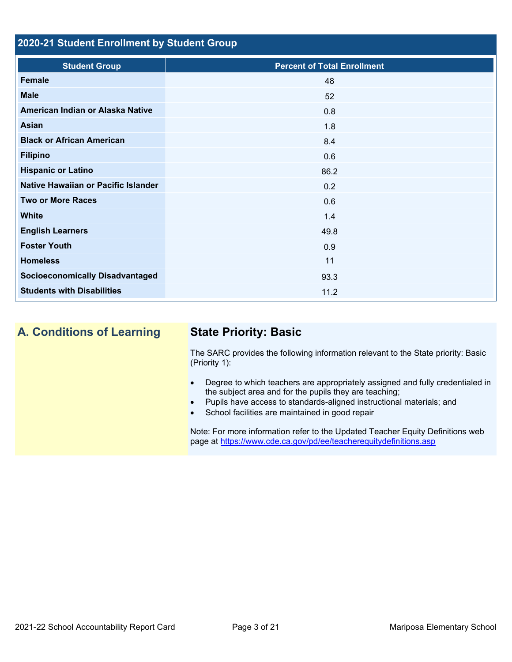## **2020-21 Student Enrollment by Student Group**

| <b>Student Group</b>                   | <b>Percent of Total Enrollment</b> |
|----------------------------------------|------------------------------------|
| Female                                 | 48                                 |
| <b>Male</b>                            | 52                                 |
| American Indian or Alaska Native       | 0.8                                |
| <b>Asian</b>                           | 1.8                                |
| <b>Black or African American</b>       | 8.4                                |
| <b>Filipino</b>                        | 0.6                                |
| <b>Hispanic or Latino</b>              | 86.2                               |
| Native Hawaiian or Pacific Islander    | 0.2                                |
| <b>Two or More Races</b>               | 0.6                                |
| <b>White</b>                           | 1.4                                |
| <b>English Learners</b>                | 49.8                               |
| <b>Foster Youth</b>                    | 0.9                                |
| <b>Homeless</b>                        | 11                                 |
| <b>Socioeconomically Disadvantaged</b> | 93.3                               |
| <b>Students with Disabilities</b>      | 11.2                               |

**A. Conditions of Learning State Priority: Basic**

The SARC provides the following information relevant to the State priority: Basic (Priority 1):

- Degree to which teachers are appropriately assigned and fully credentialed in the subject area and for the pupils they are teaching;
- Pupils have access to standards-aligned instructional materials; and
- School facilities are maintained in good repair

Note: For more information refer to the Updated Teacher Equity Definitions web page at<https://www.cde.ca.gov/pd/ee/teacherequitydefinitions.asp>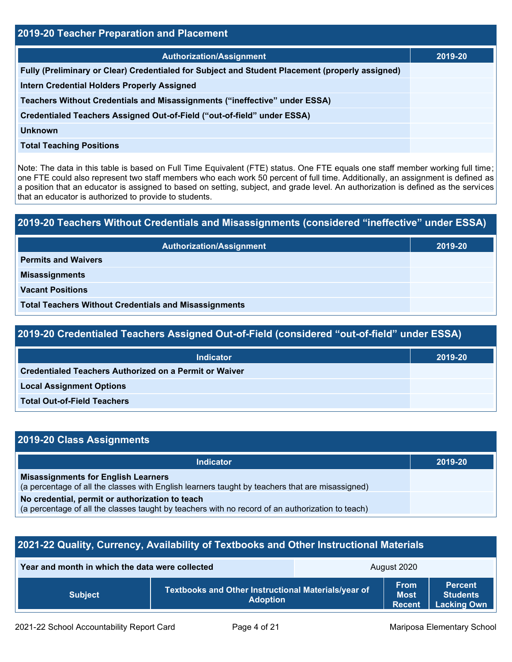| 2019-20 Teacher Preparation and Placement                                                       |         |  |  |  |
|-------------------------------------------------------------------------------------------------|---------|--|--|--|
| <b>Authorization/Assignment</b>                                                                 | 2019-20 |  |  |  |
| Fully (Preliminary or Clear) Credentialed for Subject and Student Placement (properly assigned) |         |  |  |  |
| <b>Intern Credential Holders Properly Assigned</b>                                              |         |  |  |  |
| Teachers Without Credentials and Misassignments ("ineffective" under ESSA)                      |         |  |  |  |
| Credentialed Teachers Assigned Out-of-Field ("out-of-field" under ESSA)                         |         |  |  |  |
| <b>Unknown</b>                                                                                  |         |  |  |  |
| <b>Total Teaching Positions</b>                                                                 |         |  |  |  |

Note: The data in this table is based on Full Time Equivalent (FTE) status. One FTE equals one staff member working full time; one FTE could also represent two staff members who each work 50 percent of full time. Additionally, an assignment is defined as a position that an educator is assigned to based on setting, subject, and grade level. An authorization is defined as the services that an educator is authorized to provide to students.

## **2019-20 Teachers Without Credentials and Misassignments (considered "ineffective" under ESSA)**

| <b>Authorization/Assignment</b>                              | 2019-20 |
|--------------------------------------------------------------|---------|
| <b>Permits and Waivers</b>                                   |         |
| <b>Misassignments</b>                                        |         |
| <b>Vacant Positions</b>                                      |         |
| <b>Total Teachers Without Credentials and Misassignments</b> |         |

## **2019-20 Credentialed Teachers Assigned Out-of-Field (considered "out-of-field" under ESSA)**

| <b>Indicator</b>                                              | 2019-20 |
|---------------------------------------------------------------|---------|
| <b>Credentialed Teachers Authorized on a Permit or Waiver</b> |         |
| <b>Local Assignment Options</b>                               |         |
| <b>Total Out-of-Field Teachers</b>                            |         |

| 2019-20 Class Assignments                                                                                                                           |         |  |  |  |
|-----------------------------------------------------------------------------------------------------------------------------------------------------|---------|--|--|--|
| Indicator                                                                                                                                           | 2019-20 |  |  |  |
| <b>Misassignments for English Learners</b><br>(a percentage of all the classes with English learners taught by teachers that are misassigned)       |         |  |  |  |
| No credential, permit or authorization to teach<br>(a percentage of all the classes taught by teachers with no record of an authorization to teach) |         |  |  |  |

## **2021-22 Quality, Currency, Availability of Textbooks and Other Instructional Materials**

| Year and month in which the data were collected |                                                                        | August 2020 |                                             |                                                         |
|-------------------------------------------------|------------------------------------------------------------------------|-------------|---------------------------------------------|---------------------------------------------------------|
| <b>Subject</b>                                  | Textbooks and Other Instructional Materials/year of<br><b>Adoption</b> |             | <b>From</b><br><b>Most</b><br><b>Recent</b> | <b>Percent</b><br><b>Students</b><br><b>Lacking Own</b> |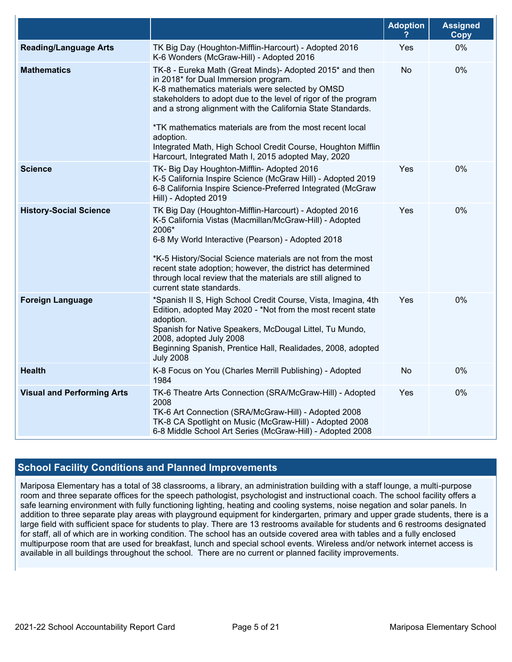|                                   |                                                                                                                                                                                                                                                                                                                                                                                                                                                                                      | <b>Adoption</b> | <b>Assigned</b><br><b>Copy</b> |
|-----------------------------------|--------------------------------------------------------------------------------------------------------------------------------------------------------------------------------------------------------------------------------------------------------------------------------------------------------------------------------------------------------------------------------------------------------------------------------------------------------------------------------------|-----------------|--------------------------------|
| <b>Reading/Language Arts</b>      | TK Big Day (Houghton-Mifflin-Harcourt) - Adopted 2016<br>K-6 Wonders (McGraw-Hill) - Adopted 2016                                                                                                                                                                                                                                                                                                                                                                                    | Yes             | 0%                             |
| <b>Mathematics</b>                | TK-8 - Eureka Math (Great Minds)- Adopted 2015* and then<br>in 2018* for Dual Immersion program.<br>K-8 mathematics materials were selected by OMSD<br>stakeholders to adopt due to the level of rigor of the program<br>and a strong alignment with the California State Standards.<br>*TK mathematics materials are from the most recent local<br>adoption.<br>Integrated Math, High School Credit Course, Houghton Mifflin<br>Harcourt, Integrated Math I, 2015 adopted May, 2020 | No              | 0%                             |
| <b>Science</b>                    | TK- Big Day Houghton-Mifflin- Adopted 2016<br>K-5 California Inspire Science (McGraw Hill) - Adopted 2019<br>6-8 California Inspire Science-Preferred Integrated (McGraw<br>Hill) - Adopted 2019                                                                                                                                                                                                                                                                                     | Yes             | 0%                             |
| <b>History-Social Science</b>     | TK Big Day (Houghton-Mifflin-Harcourt) - Adopted 2016<br>K-5 California Vistas (Macmillan/McGraw-Hill) - Adopted<br>2006*<br>6-8 My World Interactive (Pearson) - Adopted 2018<br>*K-5 History/Social Science materials are not from the most<br>recent state adoption; however, the district has determined<br>through local review that the materials are still aligned to<br>current state standards.                                                                             | Yes             | 0%                             |
| <b>Foreign Language</b>           | *Spanish II S, High School Credit Course, Vista, Imagina, 4th<br>Edition, adopted May 2020 - *Not from the most recent state<br>adoption.<br>Spanish for Native Speakers, McDougal Littel, Tu Mundo,<br>2008, adopted July 2008<br>Beginning Spanish, Prentice Hall, Realidades, 2008, adopted<br><b>July 2008</b>                                                                                                                                                                   | Yes             | 0%                             |
| <b>Health</b>                     | K-8 Focus on You (Charles Merrill Publishing) - Adopted<br>1984                                                                                                                                                                                                                                                                                                                                                                                                                      | No              | 0%                             |
| <b>Visual and Performing Arts</b> | TK-6 Theatre Arts Connection (SRA/McGraw-Hill) - Adopted<br>2008<br>TK-6 Art Connection (SRA/McGraw-Hill) - Adopted 2008<br>TK-8 CA Spotlight on Music (McGraw-Hill) - Adopted 2008<br>6-8 Middle School Art Series (McGraw-Hill) - Adopted 2008                                                                                                                                                                                                                                     | Yes             | 0%                             |

## **School Facility Conditions and Planned Improvements**

Mariposa Elementary has a total of 38 classrooms, a library, an administration building with a staff lounge, a multi-purpose room and three separate offices for the speech pathologist, psychologist and instructional coach. The school facility offers a safe learning environment with fully functioning lighting, heating and cooling systems, noise negation and solar panels. In addition to three separate play areas with playground equipment for kindergarten, primary and upper grade students, there is a large field with sufficient space for students to play. There are 13 restrooms available for students and 6 restrooms designated for staff, all of which are in working condition. The school has an outside covered area with tables and a fully enclosed multipurpose room that are used for breakfast, lunch and special school events. Wireless and/or network internet access is available in all buildings throughout the school. There are no current or planned facility improvements.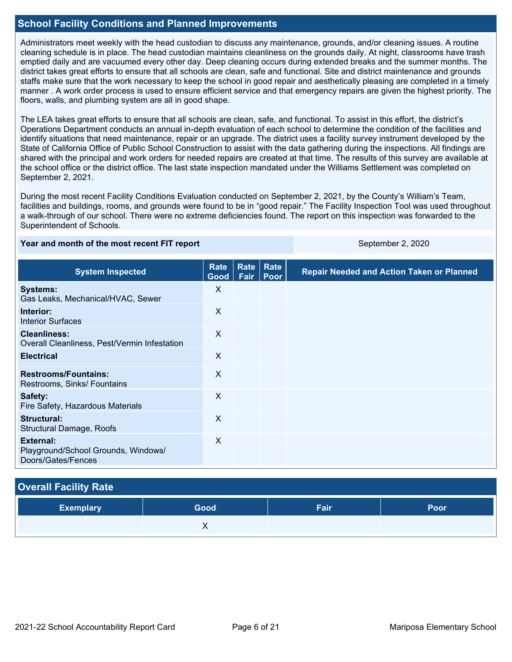## **School Facility Conditions and Planned Improvements**

Administrators meet weekly with the head custodian to discuss any maintenance, grounds, and/or cleaning issues. A routine cleaning schedule is in place. The head custodian maintains cleanliness on the grounds daily. At night, classrooms have trash emptied daily and are vacuumed every other day. Deep cleaning occurs during extended breaks and the summer months. The district takes great efforts to ensure that all schools are clean, safe and functional. Site and district maintenance and grounds staffs make sure that the work necessary to keep the school in good repair and aesthetically pleasing are completed in a timely manner . A work order process is used to ensure efficient service and that emergency repairs are given the highest priority. The floors, walls, and plumbing system are all in good shape.

The LEA takes great efforts to ensure that all schools are clean, safe, and functional. To assist in this effort, the district's Operations Department conducts an annual in-depth evaluation of each school to determine the condition of the facilities and identify situations that need maintenance, repair or an upgrade. The district uses a facility survey instrument developed by the State of California Office of Public School Construction to assist with the data gathering during the inspections. All findings are shared with the principal and work orders for needed repairs are created at that time. The results of this survey are available at the school office or the district office. The last state inspection mandated under the Williams Settlement was completed on September 2, 2021.

During the most recent Facility Conditions Evaluation conducted on September 2, 2021, by the County's William's Team, facilities and buildings, rooms, and grounds were found to be in "good repair." The Facility Inspection Tool was used throughout a walk-through of our school. There were no extreme deficiencies found. The report on this inspection was forwarded to the Superintendent of Schools.

### **Year and month of the most recent FIT report** September 2, 2020

| <b>System Inspected</b>                                                | Rate<br>Good <sub>1</sub> | Rate<br>Fair | Rate<br>Poor | <b>Repair Needed and Action Taken or Planned</b> |
|------------------------------------------------------------------------|---------------------------|--------------|--------------|--------------------------------------------------|
| <b>Systems:</b><br>Gas Leaks, Mechanical/HVAC, Sewer                   | X                         |              |              |                                                  |
| Interior:<br><b>Interior Surfaces</b>                                  | X                         |              |              |                                                  |
| <b>Cleanliness:</b><br>Overall Cleanliness, Pest/Vermin Infestation    | X                         |              |              |                                                  |
| <b>Electrical</b>                                                      | X                         |              |              |                                                  |
| <b>Restrooms/Fountains:</b><br>Restrooms, Sinks/ Fountains             | X                         |              |              |                                                  |
| Safety:<br>Fire Safety, Hazardous Materials                            | $\sf X$                   |              |              |                                                  |
| Structural:<br>Structural Damage, Roofs                                | X                         |              |              |                                                  |
| External:<br>Playground/School Grounds, Windows/<br>Doors/Gates/Fences | X                         |              |              |                                                  |

| <b>Overall Facility Rate</b> |      |      |      |  |  |  |
|------------------------------|------|------|------|--|--|--|
| <b>Exemplary</b>             | Good | Fair | Poor |  |  |  |
|                              |      |      |      |  |  |  |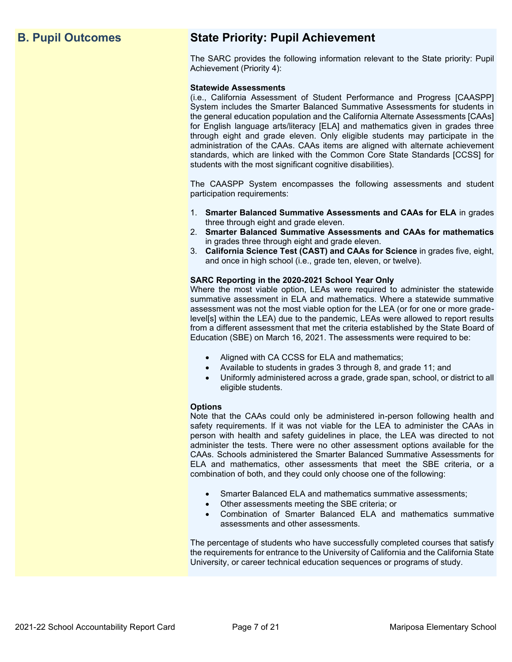## **B. Pupil Outcomes State Priority: Pupil Achievement**

The SARC provides the following information relevant to the State priority: Pupil Achievement (Priority 4):

### **Statewide Assessments**

(i.e., California Assessment of Student Performance and Progress [CAASPP] System includes the Smarter Balanced Summative Assessments for students in the general education population and the California Alternate Assessments [CAAs] for English language arts/literacy [ELA] and mathematics given in grades three through eight and grade eleven. Only eligible students may participate in the administration of the CAAs. CAAs items are aligned with alternate achievement standards, which are linked with the Common Core State Standards [CCSS] for students with the most significant cognitive disabilities).

The CAASPP System encompasses the following assessments and student participation requirements:

- 1. **Smarter Balanced Summative Assessments and CAAs for ELA** in grades three through eight and grade eleven.
- 2. **Smarter Balanced Summative Assessments and CAAs for mathematics** in grades three through eight and grade eleven.
- 3. **California Science Test (CAST) and CAAs for Science** in grades five, eight, and once in high school (i.e., grade ten, eleven, or twelve).

### **SARC Reporting in the 2020-2021 School Year Only**

Where the most viable option, LEAs were required to administer the statewide summative assessment in ELA and mathematics. Where a statewide summative assessment was not the most viable option for the LEA (or for one or more gradelevel[s] within the LEA) due to the pandemic, LEAs were allowed to report results from a different assessment that met the criteria established by the State Board of Education (SBE) on March 16, 2021. The assessments were required to be:

- Aligned with CA CCSS for ELA and mathematics;
- Available to students in grades 3 through 8, and grade 11; and
- Uniformly administered across a grade, grade span, school, or district to all eligible students.

### **Options**

Note that the CAAs could only be administered in-person following health and safety requirements. If it was not viable for the LEA to administer the CAAs in person with health and safety guidelines in place, the LEA was directed to not administer the tests. There were no other assessment options available for the CAAs. Schools administered the Smarter Balanced Summative Assessments for ELA and mathematics, other assessments that meet the SBE criteria, or a combination of both, and they could only choose one of the following:

- Smarter Balanced ELA and mathematics summative assessments;
- Other assessments meeting the SBE criteria; or
- Combination of Smarter Balanced ELA and mathematics summative assessments and other assessments.

The percentage of students who have successfully completed courses that satisfy the requirements for entrance to the University of California and the California State University, or career technical education sequences or programs of study.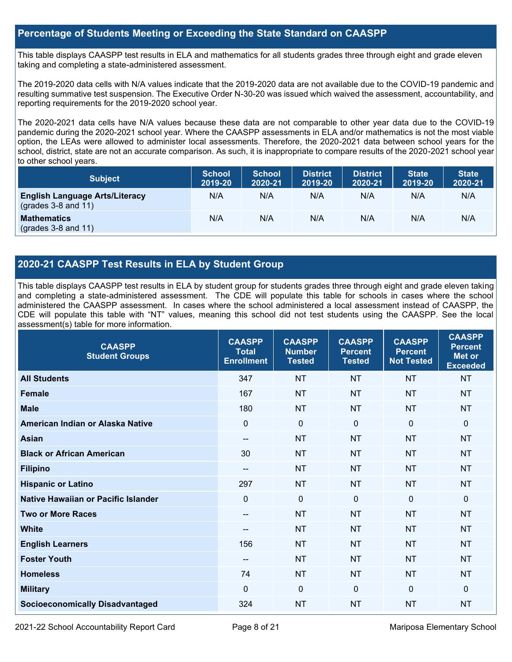## **Percentage of Students Meeting or Exceeding the State Standard on CAASPP**

This table displays CAASPP test results in ELA and mathematics for all students grades three through eight and grade eleven taking and completing a state-administered assessment.

The 2019-2020 data cells with N/A values indicate that the 2019-2020 data are not available due to the COVID-19 pandemic and resulting summative test suspension. The Executive Order N-30-20 was issued which waived the assessment, accountability, and reporting requirements for the 2019-2020 school year.

The 2020-2021 data cells have N/A values because these data are not comparable to other year data due to the COVID-19 pandemic during the 2020-2021 school year. Where the CAASPP assessments in ELA and/or mathematics is not the most viable option, the LEAs were allowed to administer local assessments. Therefore, the 2020-2021 data between school years for the school, district, state are not an accurate comparison. As such, it is inappropriate to compare results of the 2020-2021 school year to other school years.

| <b>Subject</b>                                                       | <b>School</b><br>2019-20 | <b>School</b><br>2020-21 | <b>District</b><br>2019-20 | <b>District</b><br>2020-21 | <b>State</b><br>2019-20 | <b>State</b><br>2020-21 |
|----------------------------------------------------------------------|--------------------------|--------------------------|----------------------------|----------------------------|-------------------------|-------------------------|
| <b>English Language Arts/Literacy</b><br>$\left($ grades 3-8 and 11) | N/A                      | N/A                      | N/A                        | N/A                        | N/A                     | N/A                     |
| <b>Mathematics</b><br>$(grades 3-8 and 11)$                          | N/A                      | N/A                      | N/A                        | N/A                        | N/A                     | N/A                     |

## **2020-21 CAASPP Test Results in ELA by Student Group**

This table displays CAASPP test results in ELA by student group for students grades three through eight and grade eleven taking and completing a state-administered assessment. The CDE will populate this table for schools in cases where the school administered the CAASPP assessment. In cases where the school administered a local assessment instead of CAASPP, the CDE will populate this table with "NT" values, meaning this school did not test students using the CAASPP. See the local assessment(s) table for more information.

| <b>CAASPP</b><br><b>Student Groups</b> | <b>CAASPP</b><br><b>Total</b><br><b>Enrollment</b> | <b>CAASPP</b><br><b>Number</b><br><b>Tested</b> | <b>CAASPP</b><br><b>Percent</b><br><b>Tested</b> | <b>CAASPP</b><br><b>Percent</b><br><b>Not Tested</b> | <b>CAASPP</b><br><b>Percent</b><br>Met or<br><b>Exceeded</b> |
|----------------------------------------|----------------------------------------------------|-------------------------------------------------|--------------------------------------------------|------------------------------------------------------|--------------------------------------------------------------|
| <b>All Students</b>                    | 347                                                | <b>NT</b>                                       | <b>NT</b>                                        | <b>NT</b>                                            | <b>NT</b>                                                    |
| <b>Female</b>                          | 167                                                | <b>NT</b>                                       | <b>NT</b>                                        | <b>NT</b>                                            | <b>NT</b>                                                    |
| <b>Male</b>                            | 180                                                | <b>NT</b>                                       | <b>NT</b>                                        | <b>NT</b>                                            | <b>NT</b>                                                    |
| American Indian or Alaska Native       | $\mathbf{0}$                                       | $\mathbf 0$                                     | $\mathbf{0}$                                     | $\Omega$                                             | $\Omega$                                                     |
| <b>Asian</b>                           | --                                                 | <b>NT</b>                                       | <b>NT</b>                                        | <b>NT</b>                                            | <b>NT</b>                                                    |
| <b>Black or African American</b>       | 30                                                 | <b>NT</b>                                       | <b>NT</b>                                        | <b>NT</b>                                            | <b>NT</b>                                                    |
| <b>Filipino</b>                        | --                                                 | <b>NT</b>                                       | <b>NT</b>                                        | <b>NT</b>                                            | <b>NT</b>                                                    |
| <b>Hispanic or Latino</b>              | 297                                                | <b>NT</b>                                       | <b>NT</b>                                        | <b>NT</b>                                            | <b>NT</b>                                                    |
| Native Hawaiian or Pacific Islander    | $\mathbf{0}$                                       | $\mathbf 0$                                     | $\mathbf 0$                                      | $\mathbf 0$                                          | 0                                                            |
| <b>Two or More Races</b>               | --                                                 | <b>NT</b>                                       | <b>NT</b>                                        | <b>NT</b>                                            | <b>NT</b>                                                    |
| <b>White</b>                           | --                                                 | <b>NT</b>                                       | <b>NT</b>                                        | <b>NT</b>                                            | <b>NT</b>                                                    |
| <b>English Learners</b>                | 156                                                | <b>NT</b>                                       | <b>NT</b>                                        | <b>NT</b>                                            | <b>NT</b>                                                    |
| <b>Foster Youth</b>                    | $- -$                                              | <b>NT</b>                                       | <b>NT</b>                                        | <b>NT</b>                                            | NT                                                           |
| <b>Homeless</b>                        | 74                                                 | <b>NT</b>                                       | <b>NT</b>                                        | <b>NT</b>                                            | <b>NT</b>                                                    |
| <b>Military</b>                        | $\mathbf{0}$                                       | $\mathbf 0$                                     | $\mathbf 0$                                      | $\Omega$                                             | $\mathbf{0}$                                                 |
| <b>Socioeconomically Disadvantaged</b> | 324                                                | <b>NT</b>                                       | <b>NT</b>                                        | <b>NT</b>                                            | <b>NT</b>                                                    |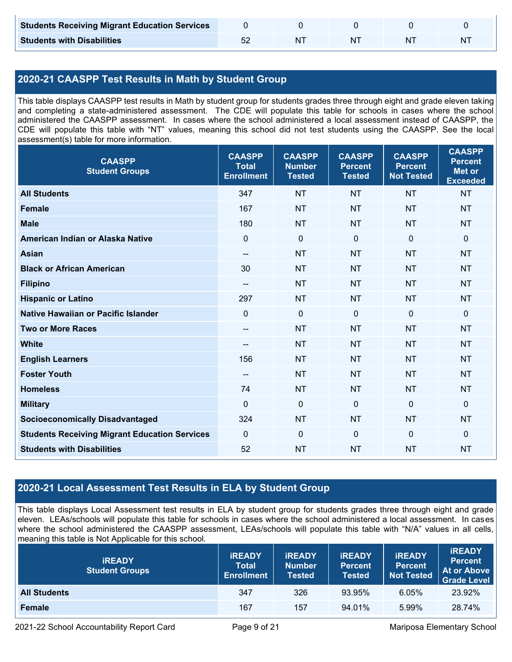| <b>Students Receiving Migrant Education Services</b> |    |  |   |
|------------------------------------------------------|----|--|---|
| <b>Students with Disabilities</b>                    | NΊ |  | N |

## **2020-21 CAASPP Test Results in Math by Student Group**

This table displays CAASPP test results in Math by student group for students grades three through eight and grade eleven taking and completing a state-administered assessment. The CDE will populate this table for schools in cases where the school administered the CAASPP assessment. In cases where the school administered a local assessment instead of CAASPP, the CDE will populate this table with "NT" values, meaning this school did not test students using the CAASPP. See the local assessment(s) table for more information.

| <b>CAASPP</b><br><b>Student Groups</b>               | <b>CAASPP</b><br><b>Total</b><br><b>Enrollment</b> | <b>CAASPP</b><br><b>Number</b><br><b>Tested</b> | <b>CAASPP</b><br><b>Percent</b><br><b>Tested</b> | <b>CAASPP</b><br><b>Percent</b><br><b>Not Tested</b> | <b>CAASPP</b><br><b>Percent</b><br><b>Met or</b><br><b>Exceeded</b> |
|------------------------------------------------------|----------------------------------------------------|-------------------------------------------------|--------------------------------------------------|------------------------------------------------------|---------------------------------------------------------------------|
| <b>All Students</b>                                  | 347                                                | <b>NT</b>                                       | <b>NT</b>                                        | <b>NT</b>                                            | <b>NT</b>                                                           |
| <b>Female</b>                                        | 167                                                | <b>NT</b>                                       | <b>NT</b>                                        | <b>NT</b>                                            | <b>NT</b>                                                           |
| <b>Male</b>                                          | 180                                                | <b>NT</b>                                       | <b>NT</b>                                        | <b>NT</b>                                            | <b>NT</b>                                                           |
| American Indian or Alaska Native                     | $\mathbf 0$                                        | $\mathbf 0$                                     | $\mathbf 0$                                      | $\overline{0}$                                       | 0                                                                   |
| <b>Asian</b>                                         | $\overline{\phantom{a}}$                           | <b>NT</b>                                       | <b>NT</b>                                        | <b>NT</b>                                            | <b>NT</b>                                                           |
| <b>Black or African American</b>                     | 30                                                 | <b>NT</b>                                       | <b>NT</b>                                        | <b>NT</b>                                            | <b>NT</b>                                                           |
| <b>Filipino</b>                                      | $\overline{\phantom{a}}$                           | <b>NT</b>                                       | <b>NT</b>                                        | <b>NT</b>                                            | <b>NT</b>                                                           |
| <b>Hispanic or Latino</b>                            | 297                                                | <b>NT</b>                                       | <b>NT</b>                                        | <b>NT</b>                                            | <b>NT</b>                                                           |
| Native Hawaiian or Pacific Islander                  | $\mathbf 0$                                        | $\mathbf 0$                                     | $\mathbf 0$                                      | $\mathbf 0$                                          | 0                                                                   |
| <b>Two or More Races</b>                             | $\overline{\phantom{a}}$                           | <b>NT</b>                                       | <b>NT</b>                                        | <b>NT</b>                                            | <b>NT</b>                                                           |
| <b>White</b>                                         | --                                                 | <b>NT</b>                                       | <b>NT</b>                                        | <b>NT</b>                                            | <b>NT</b>                                                           |
| <b>English Learners</b>                              | 156                                                | <b>NT</b>                                       | <b>NT</b>                                        | <b>NT</b>                                            | <b>NT</b>                                                           |
| <b>Foster Youth</b>                                  | $\overline{\phantom{a}}$                           | <b>NT</b>                                       | <b>NT</b>                                        | <b>NT</b>                                            | <b>NT</b>                                                           |
| <b>Homeless</b>                                      | 74                                                 | <b>NT</b>                                       | <b>NT</b>                                        | <b>NT</b>                                            | <b>NT</b>                                                           |
| <b>Military</b>                                      | $\mathbf 0$                                        | $\pmb{0}$                                       | $\mathbf{0}$                                     | $\mathbf 0$                                          | 0                                                                   |
| <b>Socioeconomically Disadvantaged</b>               | 324                                                | <b>NT</b>                                       | <b>NT</b>                                        | <b>NT</b>                                            | <b>NT</b>                                                           |
| <b>Students Receiving Migrant Education Services</b> | $\mathbf 0$                                        | $\mathbf 0$                                     | $\mathbf 0$                                      | $\mathbf 0$                                          | 0                                                                   |
| <b>Students with Disabilities</b>                    | 52                                                 | <b>NT</b>                                       | <b>NT</b>                                        | <b>NT</b>                                            | <b>NT</b>                                                           |

## **2020-21 Local Assessment Test Results in ELA by Student Group**

This table displays Local Assessment test results in ELA by student group for students grades three through eight and grade eleven. LEAs/schools will populate this table for schools in cases where the school administered a local assessment. In cases where the school administered the CAASPP assessment, LEAs/schools will populate this table with "N/A" values in all cells, meaning this table is Not Applicable for this school.

| <b>IREADY</b><br><b>Student Groups</b> | <b>IREADY</b><br><b>Total</b><br><b>Enrollment</b> | <b>IREADY</b><br><b>Number</b><br><b>Tested</b> | <b><i>IREADY</i></b><br><b>Percent</b><br><b>Tested</b> | <b>IREADY</b><br><b>Percent</b><br><b>Not Tested</b> | <b>IREADY</b><br><b>Percent</b><br>At or Above<br><b>Grade Level</b> |
|----------------------------------------|----------------------------------------------------|-------------------------------------------------|---------------------------------------------------------|------------------------------------------------------|----------------------------------------------------------------------|
| <b>All Students</b>                    | 347                                                | 326                                             | 93.95%                                                  | 6.05%                                                | 23.92%                                                               |
| Female                                 | 167                                                | 157                                             | 94.01%                                                  | 5.99%                                                | 28.74%                                                               |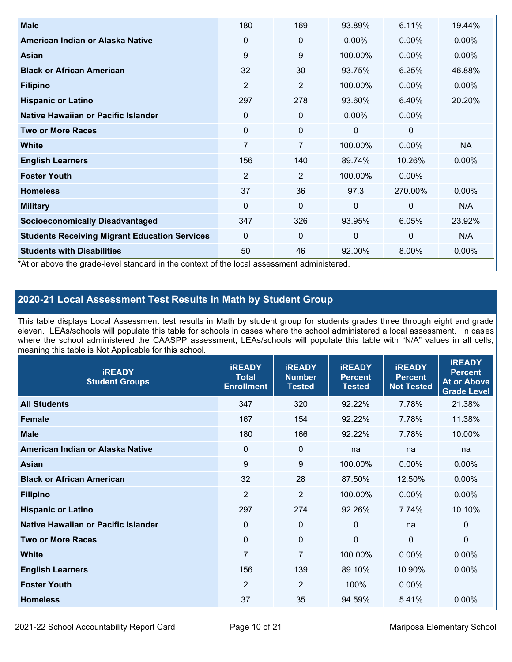| <b>Male</b>                                                                                | 180            | 169            | 93.89%       | 6.11%          | 19.44%    |
|--------------------------------------------------------------------------------------------|----------------|----------------|--------------|----------------|-----------|
| American Indian or Alaska Native                                                           | $\Omega$       | 0              | $0.00\%$     | $0.00\%$       | $0.00\%$  |
| <b>Asian</b>                                                                               | 9              | 9              | 100.00%      | $0.00\%$       | 0.00%     |
| <b>Black or African American</b>                                                           | 32             | 30             | 93.75%       | 6.25%          | 46.88%    |
| <b>Filipino</b>                                                                            | 2              | $\overline{2}$ | 100.00%      | $0.00\%$       | 0.00%     |
| <b>Hispanic or Latino</b>                                                                  | 297            | 278            | 93.60%       | 6.40%          | 20.20%    |
| Native Hawaiian or Pacific Islander                                                        | 0              | 0              | $0.00\%$     | 0.00%          |           |
| <b>Two or More Races</b>                                                                   | $\mathbf 0$    | 0              | 0            | 0              |           |
| White                                                                                      | 7              | $\overline{7}$ | 100.00%      | $0.00\%$       | <b>NA</b> |
| <b>English Learners</b>                                                                    | 156            | 140            | 89.74%       | 10.26%         | $0.00\%$  |
| <b>Foster Youth</b>                                                                        | $\overline{2}$ | $\overline{2}$ | 100.00%      | $0.00\%$       |           |
| <b>Homeless</b>                                                                            | 37             | 36             | 97.3         | 270.00%        | $0.00\%$  |
| <b>Military</b>                                                                            | $\Omega$       | $\mathbf 0$    | $\mathbf{0}$ | $\overline{0}$ | N/A       |
| <b>Socioeconomically Disadvantaged</b>                                                     | 347            | 326            | 93.95%       | 6.05%          | 23.92%    |
| <b>Students Receiving Migrant Education Services</b>                                       | $\Omega$       | 0              | $\mathbf 0$  | $\mathbf 0$    | N/A       |
| <b>Students with Disabilities</b>                                                          | 50             | 46             | 92.00%       | 8.00%          | 0.00%     |
| *At or above the grade-level standard in the context of the local assessment administered. |                |                |              |                |           |

## **2020-21 Local Assessment Test Results in Math by Student Group**

This table displays Local Assessment test results in Math by student group for students grades three through eight and grade eleven. LEAs/schools will populate this table for schools in cases where the school administered a local assessment. In cases where the school administered the CAASPP assessment, LEAs/schools will populate this table with "N/A" values in all cells, meaning this table is Not Applicable for this school.

| <b>iREADY</b><br><b>Student Groups</b> | <b>IREADY</b><br><b>Total</b><br><b>Enrollment</b> | <b>iREADY</b><br><b>Number</b><br><b>Tested</b> | <b>iREADY</b><br><b>Percent</b><br><b>Tested</b> | <b>IREADY</b><br><b>Percent</b><br><b>Not Tested</b> | <b>IREADY</b><br><b>Percent</b><br><b>At or Above</b><br><b>Grade Level</b> |
|----------------------------------------|----------------------------------------------------|-------------------------------------------------|--------------------------------------------------|------------------------------------------------------|-----------------------------------------------------------------------------|
| <b>All Students</b>                    | 347                                                | 320                                             | 92.22%                                           | 7.78%                                                | 21.38%                                                                      |
| <b>Female</b>                          | 167                                                | 154                                             | 92.22%                                           | 7.78%                                                | 11.38%                                                                      |
| <b>Male</b>                            | 180                                                | 166                                             | 92.22%                                           | 7.78%                                                | 10.00%                                                                      |
| American Indian or Alaska Native       | 0                                                  | $\mathbf 0$                                     | na                                               | na                                                   | na                                                                          |
| Asian                                  | 9                                                  | 9                                               | 100.00%                                          | 0.00%                                                | 0.00%                                                                       |
| <b>Black or African American</b>       | 32                                                 | 28                                              | 87.50%                                           | 12.50%                                               | 0.00%                                                                       |
| <b>Filipino</b>                        | $\overline{2}$                                     | $\overline{2}$                                  | 100.00%                                          | 0.00%                                                | 0.00%                                                                       |
| <b>Hispanic or Latino</b>              | 297                                                | 274                                             | 92.26%                                           | 7.74%                                                | 10.10%                                                                      |
| Native Hawaiian or Pacific Islander    | $\mathbf 0$                                        | $\mathbf 0$                                     | $\mathbf{0}$                                     | na                                                   | 0                                                                           |
| <b>Two or More Races</b>               | $\mathbf 0$                                        | $\mathbf 0$                                     | $\mathbf{0}$                                     | $\overline{0}$                                       | $\Omega$                                                                    |
| <b>White</b>                           | $\overline{7}$                                     | $\overline{7}$                                  | 100.00%                                          | 0.00%                                                | 0.00%                                                                       |
| <b>English Learners</b>                | 156                                                | 139                                             | 89.10%                                           | 10.90%                                               | $0.00\%$                                                                    |
| <b>Foster Youth</b>                    | $\overline{2}$                                     | $\overline{2}$                                  | 100%                                             | $0.00\%$                                             |                                                                             |
| <b>Homeless</b>                        | 37                                                 | 35                                              | 94.59%                                           | 5.41%                                                | 0.00%                                                                       |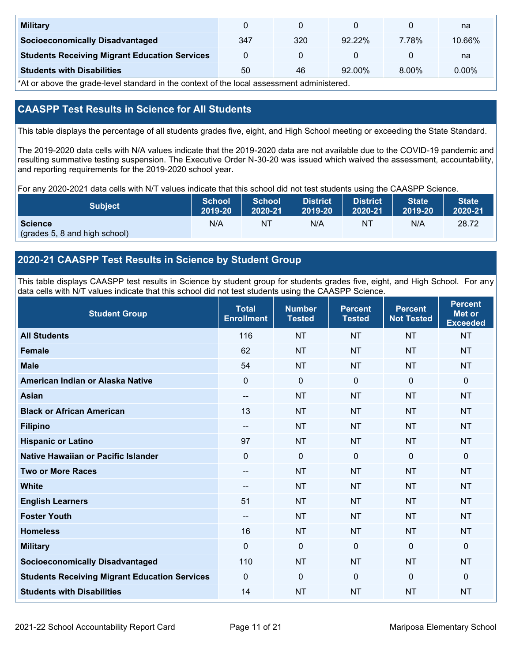| <b>Military</b>                                      |     |     |           |       | na       |
|------------------------------------------------------|-----|-----|-----------|-------|----------|
| <b>Socioeconomically Disadvantaged</b>               | 347 | 320 | 9222%     | 7.78% | 10.66%   |
| <b>Students Receiving Migrant Education Services</b> |     |     |           |       | na       |
| <b>Students with Disabilities</b>                    | 50  | 46  | $92.00\%$ | 8.00% | $0.00\%$ |

\*At or above the grade-level standard in the context of the local assessment administered.

## **CAASPP Test Results in Science for All Students**

This table displays the percentage of all students grades five, eight, and High School meeting or exceeding the State Standard.

The 2019-2020 data cells with N/A values indicate that the 2019-2020 data are not available due to the COVID-19 pandemic and resulting summative testing suspension. The Executive Order N-30-20 was issued which waived the assessment, accountability, and reporting requirements for the 2019-2020 school year.

For any 2020-2021 data cells with N/T values indicate that this school did not test students using the CAASPP Science.

| <b>Subject</b>                                  | <b>School</b> | School  | <b>District</b> | <b>District</b> | State <sup>1</sup> | <b>State</b> |
|-------------------------------------------------|---------------|---------|-----------------|-----------------|--------------------|--------------|
|                                                 | 2019-20       | 2020-21 | 2019-20         | 2020-21         | 2019-20            | 2020-21      |
| <b>Science</b><br>(grades 5, 8 and high school) | N/A           | ΝT      | N/A             | ΝT              | N/A                | 28.72        |

## **2020-21 CAASPP Test Results in Science by Student Group**

This table displays CAASPP test results in Science by student group for students grades five, eight, and High School. For any data cells with N/T values indicate that this school did not test students using the CAASPP Science.

| <b>Student Group</b>                                 | <b>Total</b><br><b>Enrollment</b> | <b>Number</b><br><b>Tested</b> | <b>Percent</b><br><b>Tested</b> | <b>Percent</b><br><b>Not Tested</b> | <b>Percent</b><br><b>Met or</b><br><b>Exceeded</b> |
|------------------------------------------------------|-----------------------------------|--------------------------------|---------------------------------|-------------------------------------|----------------------------------------------------|
| <b>All Students</b>                                  | 116                               | <b>NT</b>                      | <b>NT</b>                       | <b>NT</b>                           | <b>NT</b>                                          |
| <b>Female</b>                                        | 62                                | <b>NT</b>                      | <b>NT</b>                       | <b>NT</b>                           | <b>NT</b>                                          |
| <b>Male</b>                                          | 54                                | <b>NT</b>                      | <b>NT</b>                       | <b>NT</b>                           | <b>NT</b>                                          |
| American Indian or Alaska Native                     | $\mathbf 0$                       | $\mathbf 0$                    | $\mathbf 0$                     | $\mathbf 0$                         | $\mathbf 0$                                        |
| <b>Asian</b>                                         | --                                | <b>NT</b>                      | <b>NT</b>                       | <b>NT</b>                           | <b>NT</b>                                          |
| <b>Black or African American</b>                     | 13                                | <b>NT</b>                      | <b>NT</b>                       | <b>NT</b>                           | <b>NT</b>                                          |
| <b>Filipino</b>                                      | $\qquad \qquad -$                 | <b>NT</b>                      | <b>NT</b>                       | <b>NT</b>                           | <b>NT</b>                                          |
| <b>Hispanic or Latino</b>                            | 97                                | <b>NT</b>                      | <b>NT</b>                       | <b>NT</b>                           | <b>NT</b>                                          |
| <b>Native Hawaiian or Pacific Islander</b>           | $\Omega$                          | $\mathbf 0$                    | $\mathbf 0$                     | $\Omega$                            | $\mathbf 0$                                        |
| <b>Two or More Races</b>                             | --                                | <b>NT</b>                      | <b>NT</b>                       | <b>NT</b>                           | <b>NT</b>                                          |
| <b>White</b>                                         | $\overline{\phantom{a}}$          | <b>NT</b>                      | <b>NT</b>                       | <b>NT</b>                           | <b>NT</b>                                          |
| <b>English Learners</b>                              | 51                                | <b>NT</b>                      | <b>NT</b>                       | <b>NT</b>                           | <b>NT</b>                                          |
| <b>Foster Youth</b>                                  | --                                | <b>NT</b>                      | <b>NT</b>                       | <b>NT</b>                           | <b>NT</b>                                          |
| <b>Homeless</b>                                      | 16                                | <b>NT</b>                      | <b>NT</b>                       | <b>NT</b>                           | <b>NT</b>                                          |
| <b>Military</b>                                      | $\mathbf{0}$                      | $\mathbf 0$                    | $\mathbf 0$                     | $\mathbf 0$                         | $\mathbf 0$                                        |
| <b>Socioeconomically Disadvantaged</b>               | 110                               | <b>NT</b>                      | <b>NT</b>                       | <b>NT</b>                           | <b>NT</b>                                          |
| <b>Students Receiving Migrant Education Services</b> | $\mathbf 0$                       | $\mathbf 0$                    | $\mathbf 0$                     | $\mathbf 0$                         | $\Omega$                                           |
| <b>Students with Disabilities</b>                    | 14                                | <b>NT</b>                      | <b>NT</b>                       | <b>NT</b>                           | <b>NT</b>                                          |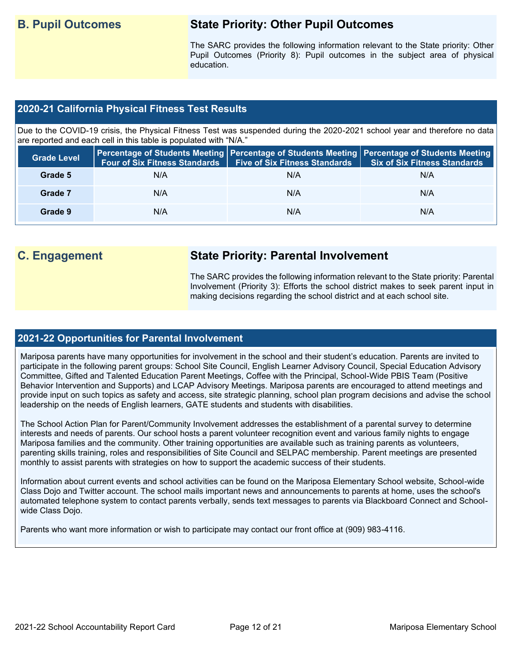## **B. Pupil Outcomes State Priority: Other Pupil Outcomes**

The SARC provides the following information relevant to the State priority: Other Pupil Outcomes (Priority 8): Pupil outcomes in the subject area of physical education.

## **2020-21 California Physical Fitness Test Results**

Due to the COVID-19 crisis, the Physical Fitness Test was suspended during the 2020-2021 school year and therefore no data are reported and each cell in this table is populated with "N/A."

| <b>Grade Level</b> | <b>Four of Six Fitness Standards</b> | <b>Five of Six Fitness Standards</b> | Percentage of Students Meeting   Percentage of Students Meeting   Percentage of Students Meeting  <br><b>Six of Six Fitness Standards</b> |
|--------------------|--------------------------------------|--------------------------------------|-------------------------------------------------------------------------------------------------------------------------------------------|
| Grade 5            | N/A                                  | N/A                                  | N/A                                                                                                                                       |
| Grade 7            | N/A                                  | N/A                                  | N/A                                                                                                                                       |
| Grade 9            | N/A                                  | N/A                                  | N/A                                                                                                                                       |

## **C. Engagement State Priority: Parental Involvement**

The SARC provides the following information relevant to the State priority: Parental Involvement (Priority 3): Efforts the school district makes to seek parent input in making decisions regarding the school district and at each school site.

### **2021-22 Opportunities for Parental Involvement**

Mariposa parents have many opportunities for involvement in the school and their student's education. Parents are invited to participate in the following parent groups: School Site Council, English Learner Advisory Council, Special Education Advisory Committee, Gifted and Talented Education Parent Meetings, Coffee with the Principal, School-Wide PBIS Team (Positive Behavior Intervention and Supports) and LCAP Advisory Meetings. Mariposa parents are encouraged to attend meetings and provide input on such topics as safety and access, site strategic planning, school plan program decisions and advise the school leadership on the needs of English learners, GATE students and students with disabilities.

The School Action Plan for Parent/Community Involvement addresses the establishment of a parental survey to determine interests and needs of parents. Our school hosts a parent volunteer recognition event and various family nights to engage Mariposa families and the community. Other training opportunities are available such as training parents as volunteers, parenting skills training, roles and responsibilities of Site Council and SELPAC membership. Parent meetings are presented monthly to assist parents with strategies on how to support the academic success of their students.

Information about current events and school activities can be found on the Mariposa Elementary School website, School-wide Class Dojo and Twitter account. The school mails important news and announcements to parents at home, uses the school's automated telephone system to contact parents verbally, sends text messages to parents via Blackboard Connect and Schoolwide Class Dojo.

Parents who want more information or wish to participate may contact our front office at (909) 983-4116.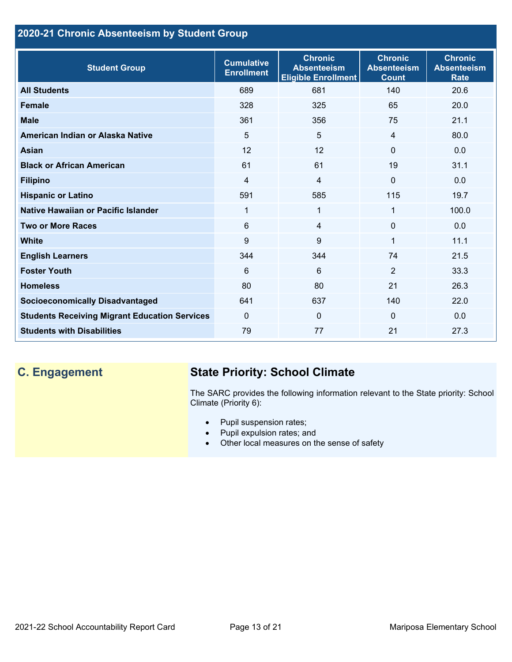## **2020-21 Chronic Absenteeism by Student Group**

| <b>Student Group</b>                                 | <b>Cumulative</b><br><b>Enrollment</b> | <b>Chronic</b><br><b>Absenteeism</b><br><b>Eligible Enrollment</b> | <b>Chronic</b><br><b>Absenteeism</b><br><b>Count</b> | <b>Chronic</b><br><b>Absenteeism</b><br><b>Rate</b> |
|------------------------------------------------------|----------------------------------------|--------------------------------------------------------------------|------------------------------------------------------|-----------------------------------------------------|
| <b>All Students</b>                                  | 689                                    | 681                                                                | 140                                                  | 20.6                                                |
| <b>Female</b>                                        | 328                                    | 325                                                                | 65                                                   | 20.0                                                |
| <b>Male</b>                                          | 361                                    | 356                                                                | 75                                                   | 21.1                                                |
| American Indian or Alaska Native                     | 5                                      | 5                                                                  | $\overline{4}$                                       | 80.0                                                |
| <b>Asian</b>                                         | 12                                     | 12                                                                 | $\mathbf{0}$                                         | 0.0                                                 |
| <b>Black or African American</b>                     | 61                                     | 61                                                                 | 19                                                   | 31.1                                                |
| <b>Filipino</b>                                      | $\overline{4}$                         | $\overline{4}$                                                     | $\mathbf{0}$                                         | 0.0                                                 |
| <b>Hispanic or Latino</b>                            | 591                                    | 585                                                                | 115                                                  | 19.7                                                |
| Native Hawaiian or Pacific Islander                  | 1                                      | 1                                                                  | 1                                                    | 100.0                                               |
| <b>Two or More Races</b>                             | 6                                      | $\overline{4}$                                                     | $\mathbf{0}$                                         | 0.0                                                 |
| <b>White</b>                                         | 9                                      | 9                                                                  | 1                                                    | 11.1                                                |
| <b>English Learners</b>                              | 344                                    | 344                                                                | 74                                                   | 21.5                                                |
| <b>Foster Youth</b>                                  | 6                                      | 6                                                                  | $\overline{2}$                                       | 33.3                                                |
| <b>Homeless</b>                                      | 80                                     | 80                                                                 | 21                                                   | 26.3                                                |
| <b>Socioeconomically Disadvantaged</b>               | 641                                    | 637                                                                | 140                                                  | 22.0                                                |
| <b>Students Receiving Migrant Education Services</b> | $\mathbf{0}$                           | $\mathbf 0$                                                        | $\Omega$                                             | 0.0                                                 |
| <b>Students with Disabilities</b>                    | 79                                     | 77                                                                 | 21                                                   | 27.3                                                |

## **C. Engagement State Priority: School Climate**

The SARC provides the following information relevant to the State priority: School Climate (Priority 6):

- Pupil suspension rates;
- Pupil expulsion rates; and
- Other local measures on the sense of safety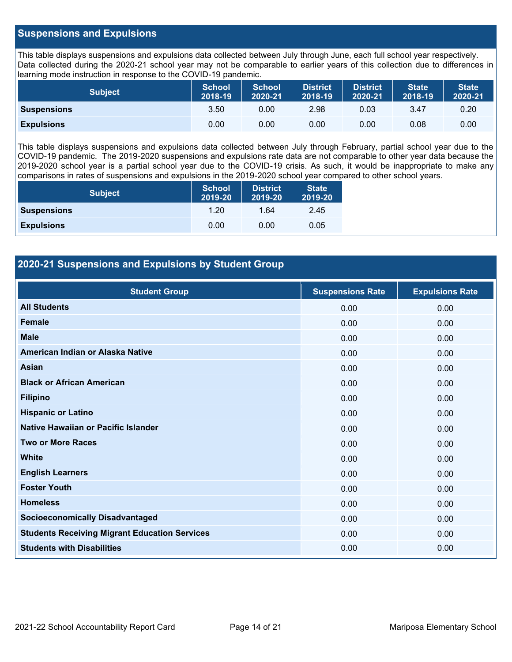### **Suspensions and Expulsions**

This table displays suspensions and expulsions data collected between July through June, each full school year respectively. Data collected during the 2020-21 school year may not be comparable to earlier years of this collection due to differences in learning mode instruction in response to the COVID-19 pandemic.

| <b>Subject</b>     | <b>School</b><br>2018-19 | <b>School</b><br>2020-21 | <b>District</b><br>2018-19 | <b>District</b><br>2020-21 | <b>State</b><br>2018-19 | <b>State</b><br>2020-21 |
|--------------------|--------------------------|--------------------------|----------------------------|----------------------------|-------------------------|-------------------------|
| <b>Suspensions</b> | 3.50                     | 0.00                     | 2.98                       | 0.03                       | 3.47                    | 0.20                    |
| <b>Expulsions</b>  | 0.00                     | 0.00                     | 0.00                       | 0.00                       | 0.08                    | 0.00                    |

This table displays suspensions and expulsions data collected between July through February, partial school year due to the COVID-19 pandemic. The 2019-2020 suspensions and expulsions rate data are not comparable to other year data because the 2019-2020 school year is a partial school year due to the COVID-19 crisis. As such, it would be inappropriate to make any comparisons in rates of suspensions and expulsions in the 2019-2020 school year compared to other school years.

| <b>Subject</b>     | <b>School</b><br>2019-20 | <b>District</b><br>2019-20 | <b>State</b><br>2019-20 |
|--------------------|--------------------------|----------------------------|-------------------------|
| <b>Suspensions</b> | 1.20                     | 1.64                       | 2.45                    |
| <b>Expulsions</b>  | 0.00                     | 0.00                       | 0.05                    |

## **2020-21 Suspensions and Expulsions by Student Group**

| <b>Student Group</b>                                 | <b>Suspensions Rate</b> | <b>Expulsions Rate</b> |
|------------------------------------------------------|-------------------------|------------------------|
| <b>All Students</b>                                  | 0.00                    | 0.00                   |
| <b>Female</b>                                        | 0.00                    | 0.00                   |
| <b>Male</b>                                          | 0.00                    | 0.00                   |
| American Indian or Alaska Native                     | 0.00                    | 0.00                   |
| <b>Asian</b>                                         | 0.00                    | 0.00                   |
| <b>Black or African American</b>                     | 0.00                    | 0.00                   |
| <b>Filipino</b>                                      | 0.00                    | 0.00                   |
| <b>Hispanic or Latino</b>                            | 0.00                    | 0.00                   |
| Native Hawaiian or Pacific Islander                  | 0.00                    | 0.00                   |
| <b>Two or More Races</b>                             | 0.00                    | 0.00                   |
| <b>White</b>                                         | 0.00                    | 0.00                   |
| <b>English Learners</b>                              | 0.00                    | 0.00                   |
| <b>Foster Youth</b>                                  | 0.00                    | 0.00                   |
| <b>Homeless</b>                                      | 0.00                    | 0.00                   |
| <b>Socioeconomically Disadvantaged</b>               | 0.00                    | 0.00                   |
| <b>Students Receiving Migrant Education Services</b> | 0.00                    | 0.00                   |
| <b>Students with Disabilities</b>                    | 0.00                    | 0.00                   |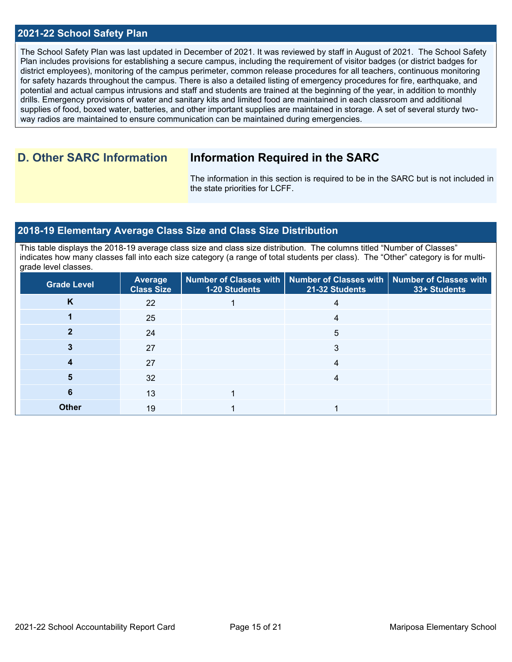### **2021-22 School Safety Plan**

The School Safety Plan was last updated in December of 2021. It was reviewed by staff in August of 2021. The School Safety Plan includes provisions for establishing a secure campus, including the requirement of visitor badges (or district badges for district employees), monitoring of the campus perimeter, common release procedures for all teachers, continuous monitoring for safety hazards throughout the campus. There is also a detailed listing of emergency procedures for fire, earthquake, and potential and actual campus intrusions and staff and students are trained at the beginning of the year, in addition to monthly drills. Emergency provisions of water and sanitary kits and limited food are maintained in each classroom and additional supplies of food, boxed water, batteries, and other important supplies are maintained in storage. A set of several sturdy twoway radios are maintained to ensure communication can be maintained during emergencies.

## **D. Other SARC Information Information Required in the SARC**

The information in this section is required to be in the SARC but is not included in the state priorities for LCFF.

### **2018-19 Elementary Average Class Size and Class Size Distribution**

This table displays the 2018-19 average class size and class size distribution. The columns titled "Number of Classes" indicates how many classes fall into each size category (a range of total students per class). The "Other" category is for multigrade level classes.

| <b>Grade Level</b> | Average<br><b>Class Size</b> | 1-20 Students | Number of Classes with   Number of Classes with   Number of Classes with<br>21-32 Students | 33+ Students |
|--------------------|------------------------------|---------------|--------------------------------------------------------------------------------------------|--------------|
| K                  | 22                           |               |                                                                                            |              |
|                    | 25                           |               | 4                                                                                          |              |
|                    | 24                           |               | 5                                                                                          |              |
|                    | 27                           |               | 3                                                                                          |              |
|                    | 27                           |               |                                                                                            |              |
|                    | 32                           |               |                                                                                            |              |
| 6                  | 13                           |               |                                                                                            |              |
| <b>Other</b>       | 19                           |               |                                                                                            |              |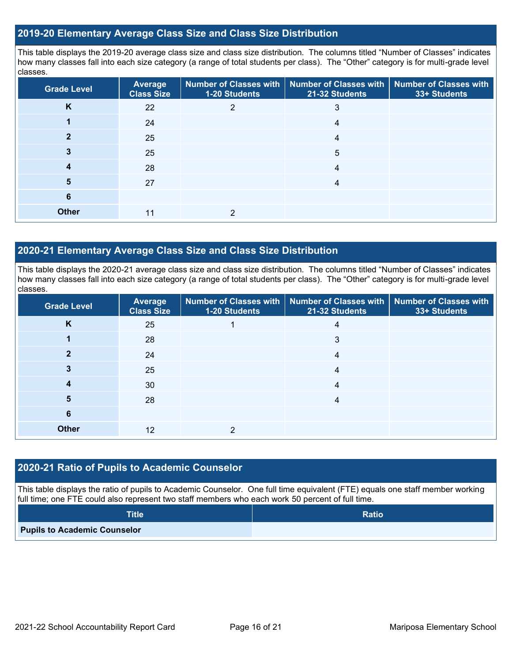### **2019-20 Elementary Average Class Size and Class Size Distribution**

This table displays the 2019-20 average class size and class size distribution. The columns titled "Number of Classes" indicates how many classes fall into each size category (a range of total students per class). The "Other" category is for multi-grade level classes.

| <b>Grade Level</b> | <b>Average</b><br><b>Class Size</b> | <b>Number of Classes with</b><br>1-20 Students | <b>Number of Classes with</b><br>21-32 Students | <b>Number of Classes with</b><br>33+ Students |
|--------------------|-------------------------------------|------------------------------------------------|-------------------------------------------------|-----------------------------------------------|
| K                  | 22                                  | 2                                              | 3                                               |                                               |
|                    | 24                                  |                                                | 4                                               |                                               |
|                    | 25                                  |                                                | 4                                               |                                               |
| 3                  | 25                                  |                                                | 5                                               |                                               |
| 4                  | 28                                  |                                                | 4                                               |                                               |
| 5                  | 27                                  |                                                | 4                                               |                                               |
| 6                  |                                     |                                                |                                                 |                                               |
| <b>Other</b>       | 11                                  | 2                                              |                                                 |                                               |

## **2020-21 Elementary Average Class Size and Class Size Distribution**

This table displays the 2020-21 average class size and class size distribution. The columns titled "Number of Classes" indicates how many classes fall into each size category (a range of total students per class). The "Other" category is for multi-grade level classes.

| <b>Grade Level</b> | <b>Average</b><br><b>Class Size</b> | 1-20 Students | Number of Classes with   Number of Classes with   Number of Classes with<br>21-32 Students | 33+ Students |
|--------------------|-------------------------------------|---------------|--------------------------------------------------------------------------------------------|--------------|
| K                  | 25                                  |               | 4                                                                                          |              |
|                    | 28                                  |               | 3                                                                                          |              |
|                    | 24                                  |               | 4                                                                                          |              |
|                    | 25                                  |               | 4                                                                                          |              |
| 4                  | 30                                  |               | 4                                                                                          |              |
| 5                  | 28                                  |               | 4                                                                                          |              |
| 6                  |                                     |               |                                                                                            |              |
| <b>Other</b>       | 12                                  | ≘             |                                                                                            |              |

## **2020-21 Ratio of Pupils to Academic Counselor**

This table displays the ratio of pupils to Academic Counselor. One full time equivalent (FTE) equals one staff member working full time; one FTE could also represent two staff members who each work 50 percent of full time.

| <b>Title</b>                        | <b>Ratio</b> |
|-------------------------------------|--------------|
| <b>Pupils to Academic Counselor</b> |              |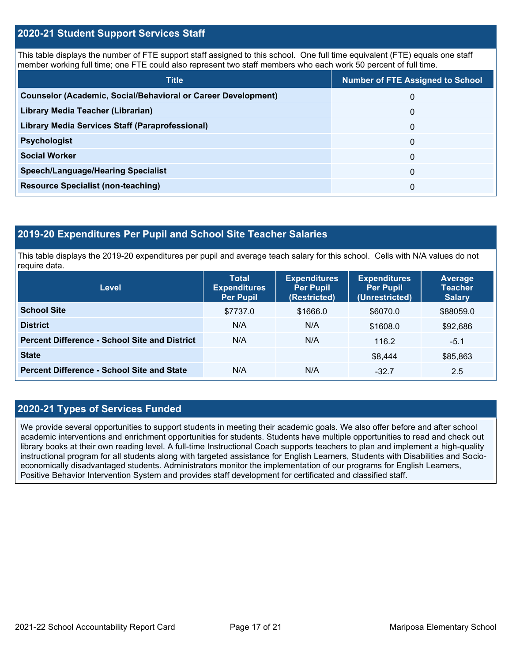### **2020-21 Student Support Services Staff**

This table displays the number of FTE support staff assigned to this school. One full time equivalent (FTE) equals one staff member working full time; one FTE could also represent two staff members who each work 50 percent of full time.

| <b>Title</b>                                                         | <b>Number of FTE Assigned to School</b> |
|----------------------------------------------------------------------|-----------------------------------------|
| <b>Counselor (Academic, Social/Behavioral or Career Development)</b> | 0                                       |
| Library Media Teacher (Librarian)                                    | 0                                       |
| Library Media Services Staff (Paraprofessional)                      | 0                                       |
| <b>Psychologist</b>                                                  | 0                                       |
| <b>Social Worker</b>                                                 | $\Omega$                                |
| <b>Speech/Language/Hearing Specialist</b>                            | 0                                       |
| <b>Resource Specialist (non-teaching)</b>                            | 0                                       |

### **2019-20 Expenditures Per Pupil and School Site Teacher Salaries**

This table displays the 2019-20 expenditures per pupil and average teach salary for this school. Cells with N/A values do not require data.

| Level                                                | <b>Total</b><br><b>Expenditures</b><br><b>Per Pupil</b> | <b>Expenditures</b><br><b>Per Pupil</b><br>(Restricted) | <b>Expenditures</b><br><b>Per Pupil</b><br>(Unrestricted) | <b>Average</b><br><b>Teacher</b><br><b>Salary</b> |
|------------------------------------------------------|---------------------------------------------------------|---------------------------------------------------------|-----------------------------------------------------------|---------------------------------------------------|
| <b>School Site</b>                                   | \$7737.0                                                | \$1666.0                                                | \$6070.0                                                  | \$88059.0                                         |
| <b>District</b>                                      | N/A                                                     | N/A                                                     | \$1608.0                                                  | \$92,686                                          |
| <b>Percent Difference - School Site and District</b> | N/A                                                     | N/A                                                     | 116.2                                                     | $-5.1$                                            |
| <b>State</b>                                         |                                                         |                                                         | \$8,444                                                   | \$85,863                                          |
| <b>Percent Difference - School Site and State</b>    | N/A                                                     | N/A                                                     | $-32.7$                                                   | 2.5                                               |

## **2020-21 Types of Services Funded**

We provide several opportunities to support students in meeting their academic goals. We also offer before and after school academic interventions and enrichment opportunities for students. Students have multiple opportunities to read and check out library books at their own reading level. A full-time Instructional Coach supports teachers to plan and implement a high-quality instructional program for all students along with targeted assistance for English Learners, Students with Disabilities and Socioeconomically disadvantaged students. Administrators monitor the implementation of our programs for English Learners, Positive Behavior Intervention System and provides staff development for certificated and classified staff.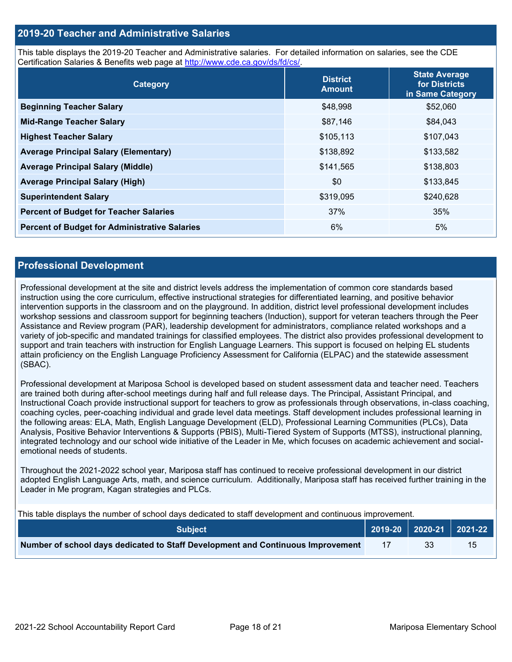### **2019-20 Teacher and Administrative Salaries**

This table displays the 2019-20 Teacher and Administrative salaries. For detailed information on salaries, see the CDE Certification Salaries & Benefits web page at [http://www.cde.ca.gov/ds/fd/cs/.](http://www.cde.ca.gov/ds/fd/cs/)

| Category                                             | <b>District</b><br><b>Amount</b> | <b>State Average</b><br>for Districts<br>in Same Category |
|------------------------------------------------------|----------------------------------|-----------------------------------------------------------|
| <b>Beginning Teacher Salary</b>                      | \$48,998                         | \$52,060                                                  |
| <b>Mid-Range Teacher Salary</b>                      | \$87,146                         | \$84,043                                                  |
| <b>Highest Teacher Salary</b>                        | \$105,113                        | \$107,043                                                 |
| <b>Average Principal Salary (Elementary)</b>         | \$138,892                        | \$133,582                                                 |
| <b>Average Principal Salary (Middle)</b>             | \$141,565                        | \$138,803                                                 |
| <b>Average Principal Salary (High)</b>               | \$0                              | \$133,845                                                 |
| <b>Superintendent Salary</b>                         | \$319,095                        | \$240,628                                                 |
| <b>Percent of Budget for Teacher Salaries</b>        | 37%                              | 35%                                                       |
| <b>Percent of Budget for Administrative Salaries</b> | 6%                               | 5%                                                        |

### **Professional Development**

Professional development at the site and district levels address the implementation of common core standards based instruction using the core curriculum, effective instructional strategies for differentiated learning, and positive behavior intervention supports in the classroom and on the playground. In addition, district level professional development includes workshop sessions and classroom support for beginning teachers (Induction), support for veteran teachers through the Peer Assistance and Review program (PAR), leadership development for administrators, compliance related workshops and a variety of job-specific and mandated trainings for classified employees. The district also provides professional development to support and train teachers with instruction for English Language Learners. This support is focused on helping EL students attain proficiency on the English Language Proficiency Assessment for California (ELPAC) and the statewide assessment (SBAC).

Professional development at Mariposa School is developed based on student assessment data and teacher need. Teachers are trained both during after-school meetings during half and full release days. The Principal, Assistant Principal, and Instructional Coach provide instructional support for teachers to grow as professionals through observations, in-class coaching, coaching cycles, peer-coaching individual and grade level data meetings. Staff development includes professional learning in the following areas: ELA, Math, English Language Development (ELD), Professional Learning Communities (PLCs), Data Analysis, Positive Behavior Interventions & Supports (PBIS), Multi-Tiered System of Supports (MTSS), instructional planning, integrated technology and our school wide initiative of the Leader in Me, which focuses on academic achievement and socialemotional needs of students.

Throughout the 2021-2022 school year, Mariposa staff has continued to receive professional development in our district adopted English Language Arts, math, and science curriculum. Additionally, Mariposa staff has received further training in the Leader in Me program, Kagan strategies and PLCs.

This table displays the number of school days dedicated to staff development and continuous improvement.

| <b>Subject</b>                                                                  | 2019-20   2020-21   2021-22 |    |
|---------------------------------------------------------------------------------|-----------------------------|----|
| Number of school days dedicated to Staff Development and Continuous Improvement |                             | 15 |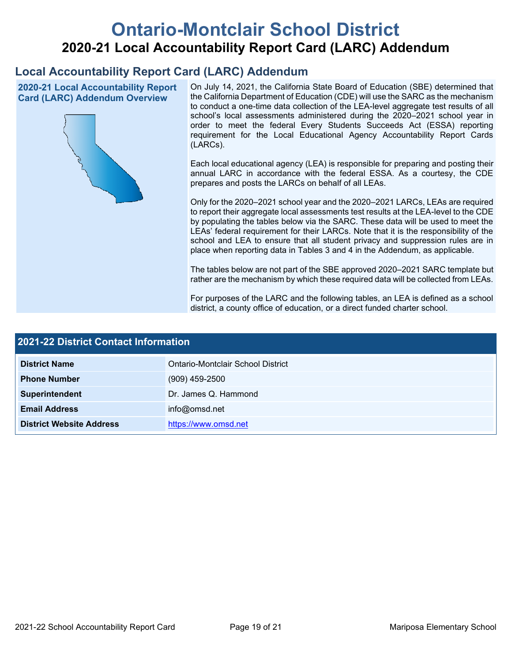# **Ontario-Montclair School District 2020-21 Local Accountability Report Card (LARC) Addendum**

## **Local Accountability Report Card (LARC) Addendum**

**2020-21 Local Accountability Report Card (LARC) Addendum Overview**



On July 14, 2021, the California State Board of Education (SBE) determined that the California Department of Education (CDE) will use the SARC as the mechanism to conduct a one-time data collection of the LEA-level aggregate test results of all school's local assessments administered during the 2020–2021 school year in order to meet the federal Every Students Succeeds Act (ESSA) reporting requirement for the Local Educational Agency Accountability Report Cards (LARCs).

Each local educational agency (LEA) is responsible for preparing and posting their annual LARC in accordance with the federal ESSA. As a courtesy, the CDE prepares and posts the LARCs on behalf of all LEAs.

Only for the 2020–2021 school year and the 2020–2021 LARCs, LEAs are required to report their aggregate local assessments test results at the LEA-level to the CDE by populating the tables below via the SARC. These data will be used to meet the LEAs' federal requirement for their LARCs. Note that it is the responsibility of the school and LEA to ensure that all student privacy and suppression rules are in place when reporting data in Tables 3 and 4 in the Addendum, as applicable.

The tables below are not part of the SBE approved 2020–2021 SARC template but rather are the mechanism by which these required data will be collected from LEAs.

For purposes of the LARC and the following tables, an LEA is defined as a school district, a county office of education, or a direct funded charter school.

| 2021-22 District Contact Information |                                   |  |
|--------------------------------------|-----------------------------------|--|
| <b>District Name</b>                 | Ontario-Montclair School District |  |
| <b>Phone Number</b>                  | $(909)$ 459-2500                  |  |
| Superintendent                       | Dr. James Q. Hammond              |  |
| <b>Email Address</b>                 | info@omsd.net                     |  |
| <b>District Website Address</b>      | https://www.omsd.net              |  |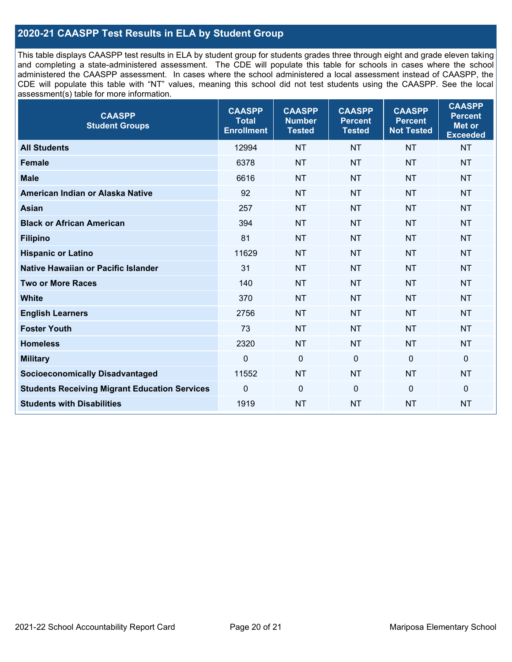## **2020-21 CAASPP Test Results in ELA by Student Group**

This table displays CAASPP test results in ELA by student group for students grades three through eight and grade eleven taking and completing a state-administered assessment. The CDE will populate this table for schools in cases where the school administered the CAASPP assessment. In cases where the school administered a local assessment instead of CAASPP, the CDE will populate this table with "NT" values, meaning this school did not test students using the CAASPP. See the local assessment(s) table for more information.

| <b>CAASPP</b><br><b>Student Groups</b>               | <b>CAASPP</b><br><b>Total</b><br><b>Enrollment</b> | <b>CAASPP</b><br><b>Number</b><br><b>Tested</b> | <b>CAASPP</b><br><b>Percent</b><br><b>Tested</b> | <b>CAASPP</b><br><b>Percent</b><br><b>Not Tested</b> | <b>CAASPP</b><br><b>Percent</b><br>Met or<br><b>Exceeded</b> |
|------------------------------------------------------|----------------------------------------------------|-------------------------------------------------|--------------------------------------------------|------------------------------------------------------|--------------------------------------------------------------|
| <b>All Students</b>                                  | 12994                                              | <b>NT</b>                                       | <b>NT</b>                                        | <b>NT</b>                                            | <b>NT</b>                                                    |
| <b>Female</b>                                        | 6378                                               | <b>NT</b>                                       | <b>NT</b>                                        | <b>NT</b>                                            | <b>NT</b>                                                    |
| <b>Male</b>                                          | 6616                                               | <b>NT</b>                                       | <b>NT</b>                                        | <b>NT</b>                                            | <b>NT</b>                                                    |
| American Indian or Alaska Native                     | 92                                                 | <b>NT</b>                                       | <b>NT</b>                                        | <b>NT</b>                                            | <b>NT</b>                                                    |
| <b>Asian</b>                                         | 257                                                | <b>NT</b>                                       | <b>NT</b>                                        | <b>NT</b>                                            | <b>NT</b>                                                    |
| <b>Black or African American</b>                     | 394                                                | <b>NT</b>                                       | <b>NT</b>                                        | <b>NT</b>                                            | <b>NT</b>                                                    |
| <b>Filipino</b>                                      | 81                                                 | <b>NT</b>                                       | <b>NT</b>                                        | <b>NT</b>                                            | <b>NT</b>                                                    |
| <b>Hispanic or Latino</b>                            | 11629                                              | <b>NT</b>                                       | <b>NT</b>                                        | <b>NT</b>                                            | <b>NT</b>                                                    |
| <b>Native Hawaiian or Pacific Islander</b>           | 31                                                 | <b>NT</b>                                       | <b>NT</b>                                        | <b>NT</b>                                            | <b>NT</b>                                                    |
| <b>Two or More Races</b>                             | 140                                                | <b>NT</b>                                       | <b>NT</b>                                        | <b>NT</b>                                            | <b>NT</b>                                                    |
| <b>White</b>                                         | 370                                                | <b>NT</b>                                       | <b>NT</b>                                        | <b>NT</b>                                            | <b>NT</b>                                                    |
| <b>English Learners</b>                              | 2756                                               | <b>NT</b>                                       | <b>NT</b>                                        | <b>NT</b>                                            | <b>NT</b>                                                    |
| <b>Foster Youth</b>                                  | 73                                                 | <b>NT</b>                                       | <b>NT</b>                                        | <b>NT</b>                                            | <b>NT</b>                                                    |
| <b>Homeless</b>                                      | 2320                                               | <b>NT</b>                                       | <b>NT</b>                                        | <b>NT</b>                                            | <b>NT</b>                                                    |
| <b>Military</b>                                      | $\mathbf 0$                                        | $\mathbf 0$                                     | $\mathbf 0$                                      | $\mathbf 0$                                          | 0                                                            |
| <b>Socioeconomically Disadvantaged</b>               | 11552                                              | <b>NT</b>                                       | <b>NT</b>                                        | <b>NT</b>                                            | <b>NT</b>                                                    |
| <b>Students Receiving Migrant Education Services</b> | $\Omega$                                           | $\mathbf 0$                                     | $\mathbf{0}$                                     | $\Omega$                                             | 0                                                            |
| <b>Students with Disabilities</b>                    | 1919                                               | <b>NT</b>                                       | <b>NT</b>                                        | <b>NT</b>                                            | <b>NT</b>                                                    |